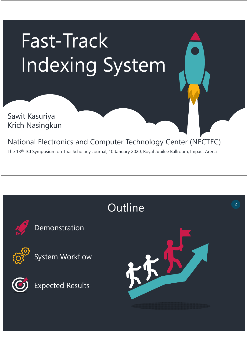# Fast-Track Indexing System

Sawit Kasuriya Krich Nasingkun

National Electronics and Computer Technology Center (NECTEC)

The 13th TCI Symposium on Thai Scholarly Journal, 10 January 2020, Royal Jubilee Ballroom, Impact Arena

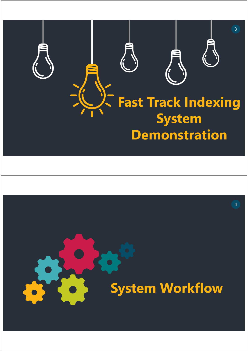

# **System Workflow**

4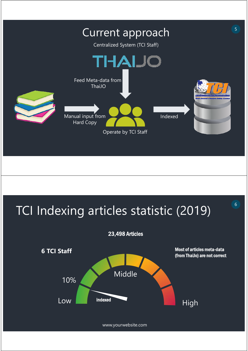

# TCI Indexing articles statistic (2019)

23,498 Articles



www.yourwebsite.com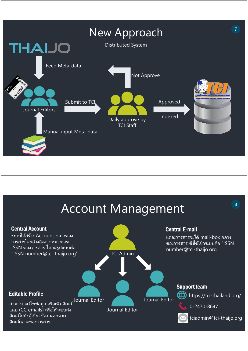

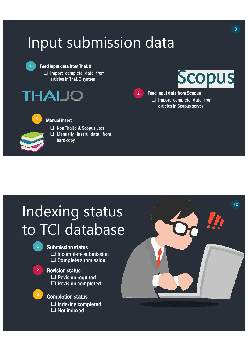

## Indexing status to TCI database



**2**

#### Submission status

 $\square$  Incomplete submission  $\square$  Complete submission

#### Revision status

- **Revision required**  $\Box$  Revision completed
- Completion status

 $\square$  Indexing completed  $\Box$  Not indexed

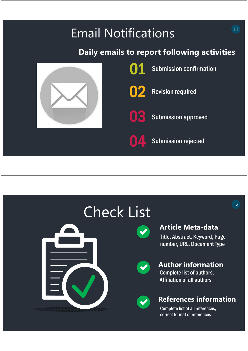### Email Notifications **11**

### **Daily emails to report following activities**



Submission confirmation

02 Revision required

01

**03** Submission approved

**04** Submission rejected

### Check List



#### **Article Meta-data**

Title, Abstract, Keyword, Page number, URL, Document Type



Complete list of authors, Affiliation of all authors **Author information** 



### **References information**

Complete list of all references, correct format of references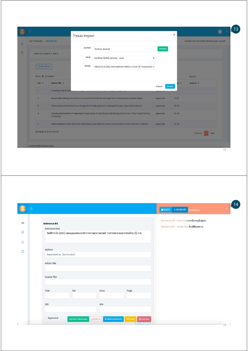|                                  | List of issues Article List                                                                                                        |                         |         |                                                                                                         |                  |           | <b>Environment and Natural Resources Journal</b> |  |
|----------------------------------|------------------------------------------------------------------------------------------------------------------------------------|-------------------------|---------|---------------------------------------------------------------------------------------------------------|------------------|-----------|--------------------------------------------------|--|
|                                  | Year: 2015, Issue #: 2, Vol: 13                                                                                                    |                         | Journal | Fa Nuea Journal                                                                                         | retrieve         |           |                                                  |  |
|                                  |                                                                                                                                    |                         | Issue   | Vol 10 No 1 (2019): January - June<br>$\hat{\mathbf{v}}$                                                |                  |           |                                                  |  |
|                                  | Create article                                                                                                                     |                         | Article | THEMES IN GLOBAL PHENOMENON VERSES: A CASE OF THAMILUANG- \$                                            |                  |           |                                                  |  |
|                                  | Show 10 $\div$ entries                                                                                                             |                         |         |                                                                                                         |                  |           | Search:                                          |  |
|                                  | NO. 4                                                                                                                              | Article Title $\approx$ |         |                                                                                                         | Cancel<br>Import | $ie$ $=$  | Actions =                                        |  |
| $\mathbf{1}$                     |                                                                                                                                    | A Grazing Capacity M    |         |                                                                                                         |                  |           |                                                  |  |
| $\overline{2}$<br>$\overline{3}$ |                                                                                                                                    |                         |         | Households Willingness to Pay for Improved Solid Waste Management in Banepa Municipality, Nepal         | approved         | $14 - 25$ |                                                  |  |
|                                  |                                                                                                                                    |                         |         | Tobacco Smoke Pollution from Designated Smoking Rooms in Bangkok?s Major International Airport          | approved         | $26 - 32$ |                                                  |  |
|                                  | $\overline{A}$<br>Copying Mechanisms in Repeated Floods Areas: A Case Study in Ba Baong Commune in Prey Veng Province,<br>Cambodia |                         |         | approved                                                                                                | $33 - 43$        |           |                                                  |  |
| 5                                |                                                                                                                                    |                         |         | Determinants of Food Bank from Melientha suavis Pierre in a Rural Community in Phrae Province, Thailand | approved         | 44-54     |                                                  |  |
| Showing 1 to 5 of 5 entries      |                                                                                                                                    |                         |         |                                                                                                         |                  |           | Next<br>Previous                                 |  |

| Reference #4                |     |                                                                                                        |      | Reference #4 - Authors: วารสารต้องระบุชื่อผู้แต่ง |
|-----------------------------|-----|--------------------------------------------------------------------------------------------------------|------|---------------------------------------------------|
| Reference text              |     |                                                                                                        |      | Reference #4 - Article Title: ต้องมีชื่อบทความ    |
|                             |     | รัตน์ศิริ ทา โต. (2551). แหล่งเผยแพร่ผลงานวิชาการทางพยาบาลศาสตร์. วารสารพยาบาลสภากาชาดไทย, 1(1), 1-16. |      |                                                   |
|                             |     |                                                                                                        |      |                                                   |
| Authors                     |     |                                                                                                        |      |                                                   |
| Separated by ; (semi colon) |     |                                                                                                        |      |                                                   |
| Article Title               |     |                                                                                                        |      |                                                   |
|                             |     |                                                                                                        |      |                                                   |
| Source Title                |     |                                                                                                        |      |                                                   |
|                             |     |                                                                                                        |      |                                                   |
| Year                        | Vol | Issue                                                                                                  | Page |                                                   |
|                             |     |                                                                                                        |      |                                                   |
| DOI                         |     | Link                                                                                                   |      |                                                   |
|                             |     |                                                                                                        |      |                                                   |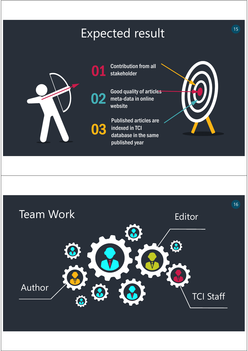### Expected result 15



01 Contribution from all stakeholder

Good quality of articles meta-data in online website 02

03 Published articles are indexed in TCI database in the same published year